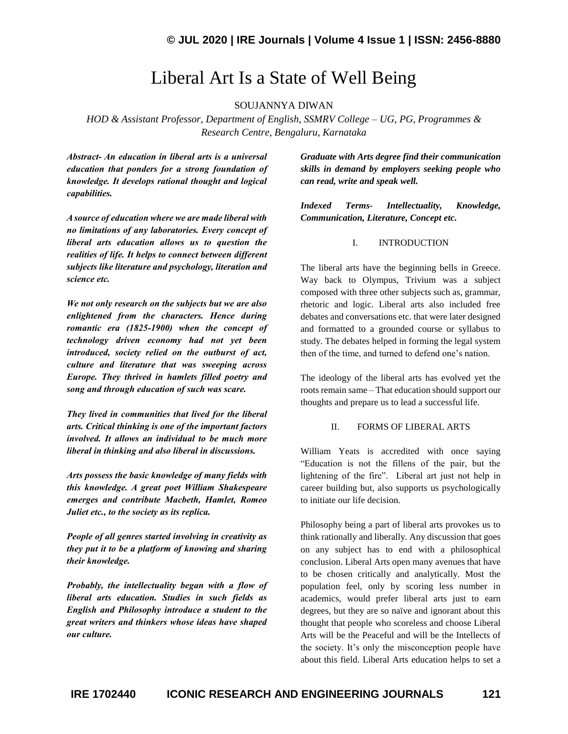## Liberal Art Is a State of Well Being

SOUJANNYA DIWAN

*HOD & Assistant Professor, Department of English, SSMRV College – UG, PG, Programmes & Research Centre, Bengaluru, Karnataka*

*Abstract- An education in liberal arts is a universal education that ponders for a strong foundation of knowledge. It develops rational thought and logical capabilities.*

*A source of education where we are made liberal with no limitations of any laboratories. Every concept of liberal arts education allows us to question the realities of life. It helps to connect between different subjects like literature and psychology, literation and science etc.*

*We not only research on the subjects but we are also enlightened from the characters. Hence during romantic era (1825-1900) when the concept of technology driven economy had not yet been introduced, society relied on the outburst of act, culture and literature that was sweeping across Europe. They thrived in hamlets filled poetry and song and through education of such was scare.*

*They lived in communities that lived for the liberal arts. Critical thinking is one of the important factors involved. It allows an individual to be much more liberal in thinking and also liberal in discussions.*

*Arts possess the basic knowledge of many fields with this knowledge. A great poet William Shakespeare emerges and contribute Macbeth, Hamlet, Romeo Juliet etc., to the society as its replica.*

*People of all genres started involving in creativity as they put it to be a platform of knowing and sharing their knowledge.* 

*Probably, the intellectuality began with a flow of liberal arts education. Studies in such fields as English and Philosophy introduce a student to the great writers and thinkers whose ideas have shaped our culture.*

*Graduate with Arts degree find their communication skills in demand by employers seeking people who can read, write and speak well.*

*Indexed Terms- Intellectuality, Knowledge, Communication, Literature, Concept etc.*

## I. INTRODUCTION

The liberal arts have the beginning bells in Greece. Way back to Olympus, Trivium was a subject composed with three other subjects such as, grammar, rhetoric and logic. Liberal arts also included free debates and conversations etc. that were later designed and formatted to a grounded course or syllabus to study. The debates helped in forming the legal system then of the time, and turned to defend one's nation.

The ideology of the liberal arts has evolved yet the roots remain same – That education should support our thoughts and prepare us to lead a successful life.

## II. FORMS OF LIBERAL ARTS

William Yeats is accredited with once saying "Education is not the fillens of the pair, but the lightening of the fire". Liberal art just not help in career building but, also supports us psychologically to initiate our life decision.

Philosophy being a part of liberal arts provokes us to think rationally and liberally. Any discussion that goes on any subject has to end with a philosophical conclusion. Liberal Arts open many avenues that have to be chosen critically and analytically. Most the population feel, only by scoring less number in academics, would prefer liberal arts just to earn degrees, but they are so naïve and ignorant about this thought that people who scoreless and choose Liberal Arts will be the Peaceful and will be the Intellects of the society. It's only the misconception people have about this field. Liberal Arts education helps to set a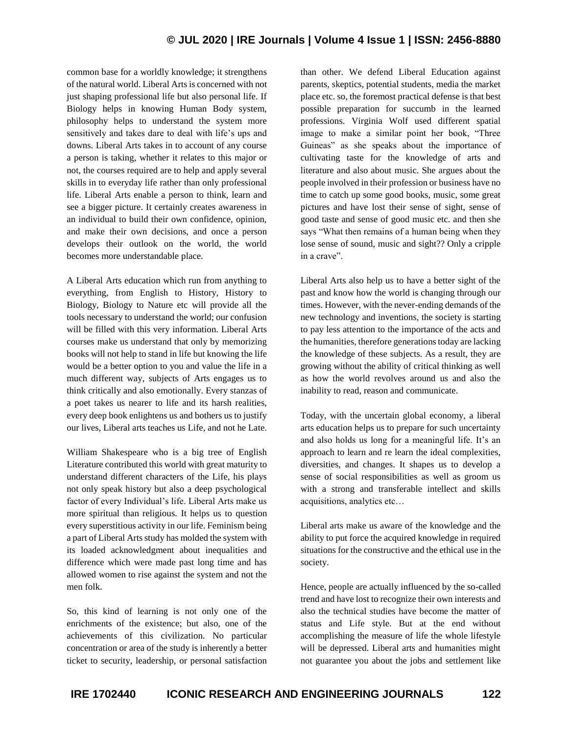common base for a worldly knowledge; it strengthens of the natural world. Liberal Arts is concerned with not just shaping professional life but also personal life. If Biology helps in knowing Human Body system, philosophy helps to understand the system more sensitively and takes dare to deal with life's ups and downs. Liberal Arts takes in to account of any course a person is taking, whether it relates to this major or not, the courses required are to help and apply several skills in to everyday life rather than only professional life. Liberal Arts enable a person to think, learn and see a bigger picture. It certainly creates awareness in an individual to build their own confidence, opinion, and make their own decisions, and once a person develops their outlook on the world, the world becomes more understandable place.

A Liberal Arts education which run from anything to everything, from English to History, History to Biology, Biology to Nature etc will provide all the tools necessary to understand the world; our confusion will be filled with this very information. Liberal Arts courses make us understand that only by memorizing books will not help to stand in life but knowing the life would be a better option to you and value the life in a much different way, subjects of Arts engages us to think critically and also emotionally. Every stanzas of a poet takes us nearer to life and its harsh realities, every deep book enlightens us and bothers us to justify our lives, Liberal arts teaches us Life, and not he Late.

William Shakespeare who is a big tree of English Literature contributed this world with great maturity to understand different characters of the Life, his plays not only speak history but also a deep psychological factor of every Individual's life. Liberal Arts make us more spiritual than religious. It helps us to question every superstitious activity in our life. Feminism being a part of Liberal Arts study has molded the system with its loaded acknowledgment about inequalities and difference which were made past long time and has allowed women to rise against the system and not the men folk.

So, this kind of learning is not only one of the enrichments of the existence; but also, one of the achievements of this civilization. No particular concentration or area of the study is inherently a better ticket to security, leadership, or personal satisfaction than other. We defend Liberal Education against parents, skeptics, potential students, media the market place etc. so, the foremost practical defense is that best possible preparation for succumb in the learned professions. Virginia Wolf used different spatial image to make a similar point her book, "Three Guineas" as she speaks about the importance of cultivating taste for the knowledge of arts and literature and also about music. She argues about the people involved in their profession or business have no time to catch up some good books, music, some great pictures and have lost their sense of sight, sense of good taste and sense of good music etc. and then she says "What then remains of a human being when they lose sense of sound, music and sight?? Only a cripple in a crave".

Liberal Arts also help us to have a better sight of the past and know how the world is changing through our times. However, with the never-ending demands of the new technology and inventions, the society is starting to pay less attention to the importance of the acts and the humanities, therefore generations today are lacking the knowledge of these subjects. As a result, they are growing without the ability of critical thinking as well as how the world revolves around us and also the inability to read, reason and communicate.

Today, with the uncertain global economy, a liberal arts education helps us to prepare for such uncertainty and also holds us long for a meaningful life. It's an approach to learn and re learn the ideal complexities, diversities, and changes. It shapes us to develop a sense of social responsibilities as well as groom us with a strong and transferable intellect and skills acquisitions, analytics etc…

Liberal arts make us aware of the knowledge and the ability to put force the acquired knowledge in required situations for the constructive and the ethical use in the society.

Hence, people are actually influenced by the so-called trend and have lost to recognize their own interests and also the technical studies have become the matter of status and Life style. But at the end without accomplishing the measure of life the whole lifestyle will be depressed. Liberal arts and humanities might not guarantee you about the jobs and settlement like